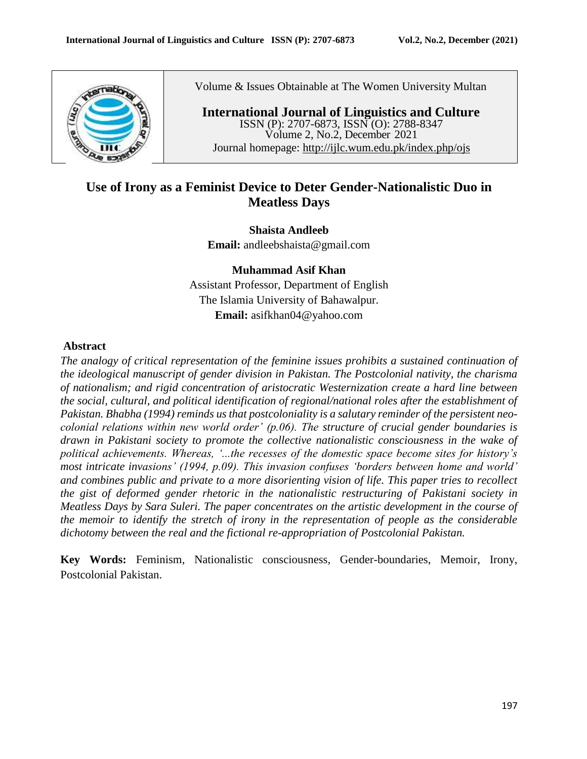

Volume & Issues Obtainable at The Women University Multan

**International Journal of Linguistics and Culture** ISSN (P): 2707-6873, ISSN (O): 2788-8347 Volume 2, No.2, December 2021 Journal homepage:<http://ijlc.wum.edu.pk/index.php/ojs>

# **Use of Irony as a Feminist Device to Deter Gender-Nationalistic Duo in Meatless Days**

**Shaista Andleeb Email:** [andleebshaista@gmail.com](mailto:andleebshaista@gmail.com)

**Muhammad Asif Khan** Assistant Professor, Department of English The Islamia University of Bahawalpur. **Email:** [asifkhan04@yahoo.com](mailto:asifkhan04@yahoo.com)

# **Abstract**

*The analogy of critical representation of the feminine issues prohibits a sustained continuation of the ideological manuscript of gender division in Pakistan. The Postcolonial nativity, the charisma of nationalism; and rigid concentration of aristocratic Westernization create a hard line between the social, cultural, and political identification of regional/national roles after the establishment of Pakistan. Bhabha (1994) reminds us that postcoloniality is a salutary reminder of the persistent neocolonial relations within new world order' (p.06). The structure of crucial gender boundaries is drawn in Pakistani society to promote the collective nationalistic consciousness in the wake of political achievements. Whereas, '...the recesses of the domestic space become sites for history's most intricate invasions' (1994, p.09). This invasion confuses 'borders between home and world' and combines public and private to a more disorienting vision of life. This paper tries to recollect the gist of deformed gender rhetoric in the nationalistic restructuring of Pakistani society in Meatless Days by Sara Suleri. The paper concentrates on the artistic development in the course of the memoir to identify the stretch of irony in the representation of people as the considerable dichotomy between the real and the fictional re-appropriation of Postcolonial Pakistan.*

**Key Words:** Feminism, Nationalistic consciousness, Gender-boundaries, Memoir, Irony, Postcolonial Pakistan.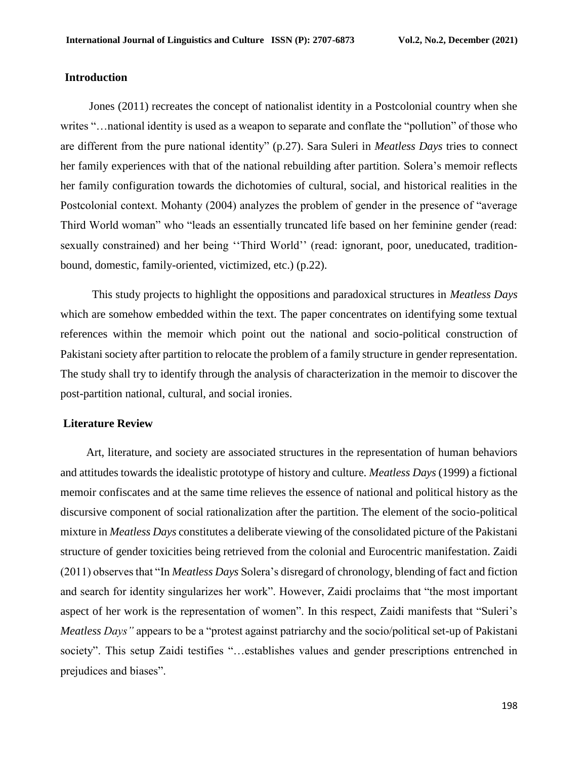## **Introduction**

 Jones (2011) recreates the concept of nationalist identity in a Postcolonial country when she writes "…national identity is used as a weapon to separate and conflate the "pollution" of those who are different from the pure national identity" (p.27). Sara Suleri in *Meatless Days* tries to connect her family experiences with that of the national rebuilding after partition. Solera's memoir reflects her family configuration towards the dichotomies of cultural, social, and historical realities in the Postcolonial context. Mohanty (2004) analyzes the problem of gender in the presence of "average Third World woman" who "leads an essentially truncated life based on her feminine gender (read: sexually constrained) and her being ''Third World'' (read: ignorant, poor, uneducated, traditionbound, domestic, family-oriented, victimized, etc.) (p.22).

 This study projects to highlight the oppositions and paradoxical structures in *Meatless Days* which are somehow embedded within the text. The paper concentrates on identifying some textual references within the memoir which point out the national and socio-political construction of Pakistani society after partition to relocate the problem of a family structure in gender representation. The study shall try to identify through the analysis of characterization in the memoir to discover the post-partition national, cultural, and social ironies.

#### **Literature Review**

 Art, literature, and society are associated structures in the representation of human behaviors and attitudes towards the idealistic prototype of history and culture. *Meatless Days* (1999) a fictional memoir confiscates and at the same time relieves the essence of national and political history as the discursive component of social rationalization after the partition. The element of the socio-political mixture in *Meatless Days* constitutes a deliberate viewing of the consolidated picture of the Pakistani structure of gender toxicities being retrieved from the colonial and Eurocentric manifestation. Zaidi (2011) observes that "In *Meatless Days* Solera's disregard of chronology, blending of fact and fiction and search for identity singularizes her work". However, Zaidi proclaims that "the most important aspect of her work is the representation of women". In this respect, Zaidi manifests that "Suleri's *Meatless Days"* appears to be a "protest against patriarchy and the socio/political set-up of Pakistani society". This setup Zaidi testifies "…establishes values and gender prescriptions entrenched in prejudices and biases".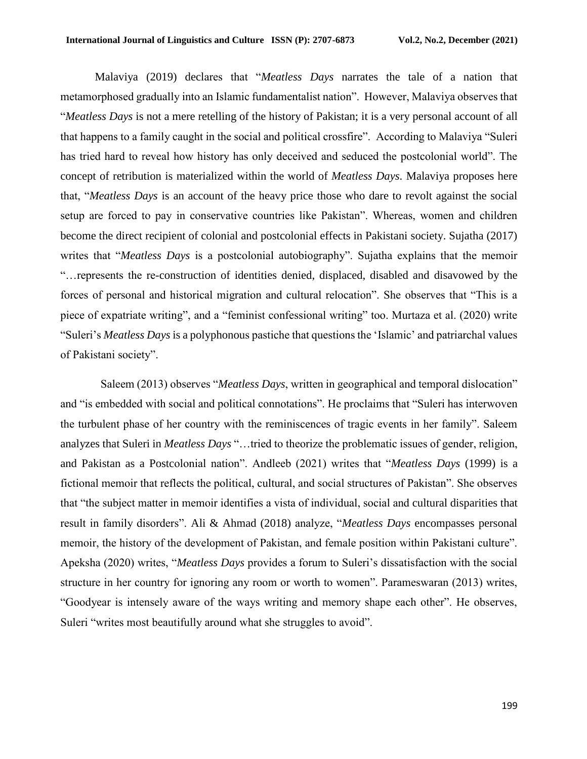Malaviya (2019) declares that "*Meatless Days* narrates the tale of a nation that metamorphosed gradually into an Islamic fundamentalist nation". However, Malaviya observes that "*Meatless Days* is not a mere retelling of the history of Pakistan; it is a very personal account of all that happens to a family caught in the social and political crossfire". According to Malaviya "Suleri has tried hard to reveal how history has only deceived and seduced the postcolonial world". The concept of retribution is materialized within the world of *Meatless Days*. Malaviya proposes here that, "*Meatless Days* is an account of the heavy price those who dare to revolt against the social setup are forced to pay in conservative countries like Pakistan". Whereas, women and children become the direct recipient of colonial and postcolonial effects in Pakistani society. Sujatha (2017) writes that "*Meatless Days* is a postcolonial autobiography". Sujatha explains that the memoir "…represents the re-construction of identities denied, displaced, disabled and disavowed by the forces of personal and historical migration and cultural relocation". She observes that "This is a piece of expatriate writing", and a "feminist confessional writing" too. Murtaza et al. (2020) write "Suleri's *Meatless Days* is a polyphonous pastiche that questions the 'Islamic' and patriarchal values of Pakistani society".

 Saleem (2013) observes "*Meatless Days*, written in geographical and temporal dislocation" and "is embedded with social and political connotations". He proclaims that "Suleri has interwoven the turbulent phase of her country with the reminiscences of tragic events in her family". Saleem analyzes that Suleri in *Meatless Days* "…tried to theorize the problematic issues of gender, religion, and Pakistan as a Postcolonial nation". Andleeb (2021) writes that "*Meatless Days* (1999) is a fictional memoir that reflects the political, cultural, and social structures of Pakistan". She observes that "the subject matter in memoir identifies a vista of individual, social and cultural disparities that result in family disorders". Ali & Ahmad (2018) analyze, "*Meatless Days* encompasses personal memoir, the history of the development of Pakistan, and female position within Pakistani culture". Apeksha (2020) writes, "*Meatless Days* provides a forum to Suleri's dissatisfaction with the social structure in her country for ignoring any room or worth to women". Parameswaran (2013) writes, "Goodyear is intensely aware of the ways writing and memory shape each other". He observes, Suleri "writes most beautifully around what she struggles to avoid".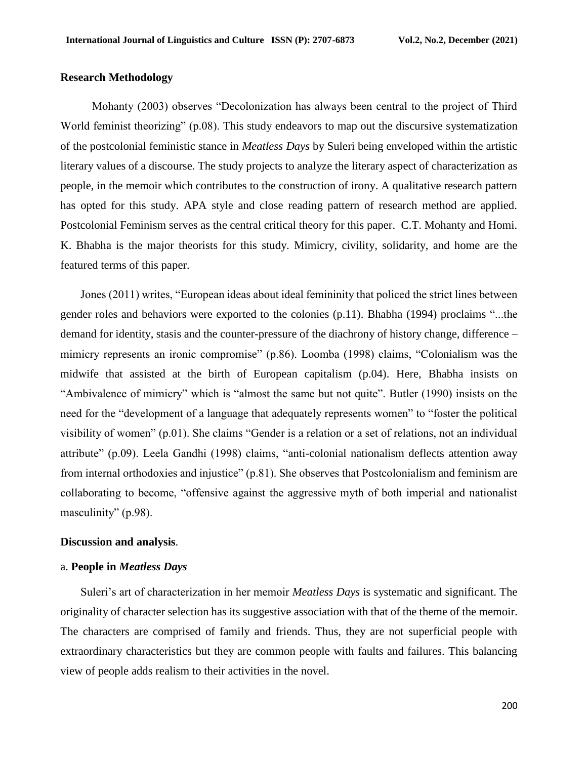## **Research Methodology**

 Mohanty (2003) observes "Decolonization has always been central to the project of Third World feminist theorizing" (p.08). This study endeavors to map out the discursive systematization of the postcolonial feministic stance in *Meatless Days* by Suleri being enveloped within the artistic literary values of a discourse. The study projects to analyze the literary aspect of characterization as people, in the memoir which contributes to the construction of irony. A qualitative research pattern has opted for this study. APA style and close reading pattern of research method are applied. Postcolonial Feminism serves as the central critical theory for this paper. C.T. Mohanty and Homi. K. Bhabha is the major theorists for this study. Mimicry, civility, solidarity, and home are the featured terms of this paper.

 Jones (2011) writes, "European ideas about ideal femininity that policed the strict lines between gender roles and behaviors were exported to the colonies (p.11). Bhabha (1994) proclaims "...the demand for identity, stasis and the counter-pressure of the diachrony of history change, difference – mimicry represents an ironic compromise" (p.86). Loomba (1998) claims, "Colonialism was the midwife that assisted at the birth of European capitalism (p.04). Here, Bhabha insists on "Ambivalence of mimicry" which is "almost the same but not quite". Butler (1990) insists on the need for the "development of a language that adequately represents women" to "foster the political visibility of women" (p.01). She claims "Gender is a relation or a set of relations, not an individual attribute" (p.09). Leela Gandhi (1998) claims, "anti-colonial nationalism deflects attention away from internal orthodoxies and injustice" (p.81). She observes that Postcolonialism and feminism are collaborating to become, "offensive against the aggressive myth of both imperial and nationalist masculinity" (p.98).

#### **Discussion and analysis**.

# a. **People in** *Meatless Days*

 Suleri's art of characterization in her memoir *Meatless Days* is systematic and significant. The originality of character selection has its suggestive association with that of the theme of the memoir. The characters are comprised of family and friends. Thus, they are not superficial people with extraordinary characteristics but they are common people with faults and failures. This balancing view of people adds realism to their activities in the novel.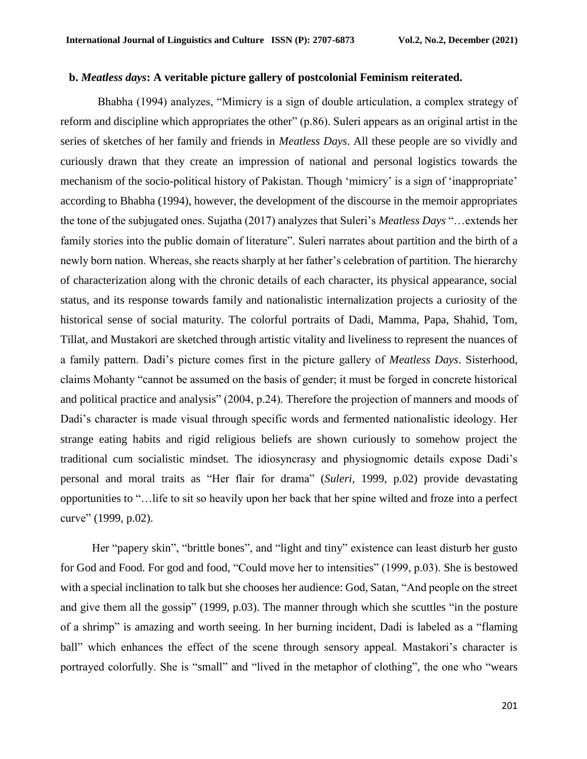#### **b.** *Meatless days***: A veritable picture gallery of postcolonial Feminism reiterated.**

 Bhabha (1994) analyzes, "Mimicry is a sign of double articulation, a complex strategy of reform and discipline which appropriates the other" (p.86). Suleri appears as an original artist in the series of sketches of her family and friends in *Meatless Days*. All these people are so vividly and curiously drawn that they create an impression of national and personal logistics towards the mechanism of the socio-political history of Pakistan. Though 'mimicry' is a sign of 'inappropriate' according to Bhabha (1994), however, the development of the discourse in the memoir appropriates the tone of the subjugated ones. Sujatha (2017) analyzes that Suleri's *Meatless Days* "…extends her family stories into the public domain of literature". Suleri narrates about partition and the birth of a newly born nation. Whereas, she reacts sharply at her father's celebration of partition. The hierarchy of characterization along with the chronic details of each character, its physical appearance, social status, and its response towards family and nationalistic internalization projects a curiosity of the historical sense of social maturity. The colorful portraits of Dadi, Mamma, Papa, Shahid, Tom, Tillat, and Mustakori are sketched through artistic vitality and liveliness to represent the nuances of a family pattern. Dadi's picture comes first in the picture gallery of *Meatless Days*. Sisterhood, claims Mohanty "cannot be assumed on the basis of gender; it must be forged in concrete historical and political practice and analysis" (2004, p.24). Therefore the projection of manners and moods of Dadi's character is made visual through specific words and fermented nationalistic ideology. Her strange eating habits and rigid religious beliefs are shown curiously to somehow project the traditional cum socialistic mindset*.* The idiosyncrasy and physiognomic details expose Dadi's personal and moral traits as "Her flair for drama" (*Suleri,* 1999, p.02) provide devastating opportunities to "…life to sit so heavily upon her back that her spine wilted and froze into a perfect curve" (1999, p.02).

 Her "papery skin", "brittle bones", and "light and tiny" existence can least disturb her gusto for God and Food. For god and food, "Could move her to intensities" (1999, p.03). She is bestowed with a special inclination to talk but she chooses her audience: God, Satan, "And people on the street and give them all the gossip" (1999, p.03). The manner through which she scuttles "in the posture of a shrimp" is amazing and worth seeing. In her burning incident, Dadi is labeled as a "flaming ball" which enhances the effect of the scene through sensory appeal. Mastakori's character is portrayed colorfully. She is "small" and "lived in the metaphor of clothing", the one who "wears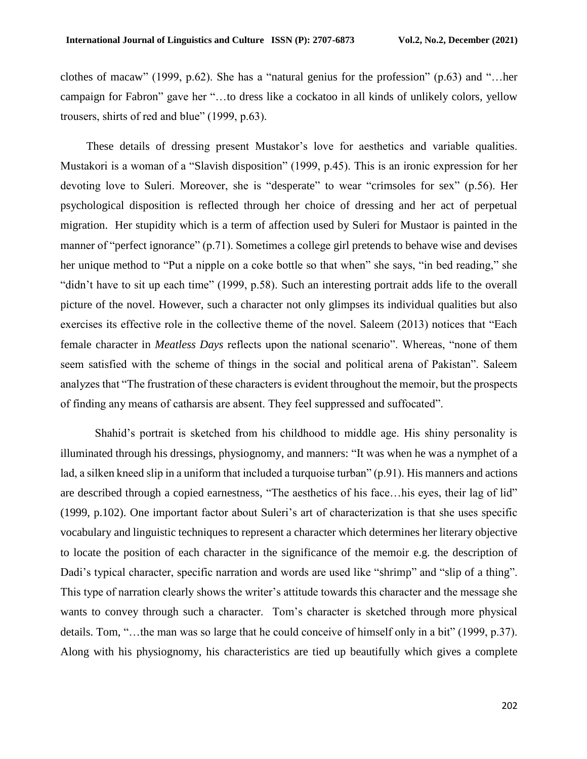clothes of macaw" (1999, p.62). She has a "natural genius for the profession" (p.63) and "…her campaign for Fabron" gave her "…to dress like a cockatoo in all kinds of unlikely colors, yellow trousers, shirts of red and blue" (1999, p.63).

 These details of dressing present Mustakor's love for aesthetics and variable qualities. Mustakori is a woman of a "Slavish disposition" (1999, p.45). This is an ironic expression for her devoting love to Suleri. Moreover, she is "desperate" to wear "crimsoles for sex" (p.56). Her psychological disposition is reflected through her choice of dressing and her act of perpetual migration. Her stupidity which is a term of affection used by Suleri for Mustaor is painted in the manner of "perfect ignorance" (p.71). Sometimes a college girl pretends to behave wise and devises her unique method to "Put a nipple on a coke bottle so that when" she says, "in bed reading," she "didn't have to sit up each time" (1999, p.58). Such an interesting portrait adds life to the overall picture of the novel. However, such a character not only glimpses its individual qualities but also exercises its effective role in the collective theme of the novel. Saleem (2013) notices that "Each female character in *Meatless Days* reflects upon the national scenario". Whereas, "none of them seem satisfied with the scheme of things in the social and political arena of Pakistan". Saleem analyzes that "The frustration of these characters is evident throughout the memoir, but the prospects of finding any means of catharsis are absent. They feel suppressed and suffocated".

 Shahid's portrait is sketched from his childhood to middle age. His shiny personality is illuminated through his dressings, physiognomy, and manners: "It was when he was a nymphet of a lad, a silken kneed slip in a uniform that included a turquoise turban" (p.91). His manners and actions are described through a copied earnestness, "The aesthetics of his face…his eyes, their lag of lid" (1999, p.102). One important factor about Suleri's art of characterization is that she uses specific vocabulary and linguistic techniques to represent a character which determines her literary objective to locate the position of each character in the significance of the memoir e.g. the description of Dadi's typical character, specific narration and words are used like "shrimp" and "slip of a thing". This type of narration clearly shows the writer's attitude towards this character and the message she wants to convey through such a character. Tom's character is sketched through more physical details. Tom, "…the man was so large that he could conceive of himself only in a bit" (1999, p.37). Along with his physiognomy, his characteristics are tied up beautifully which gives a complete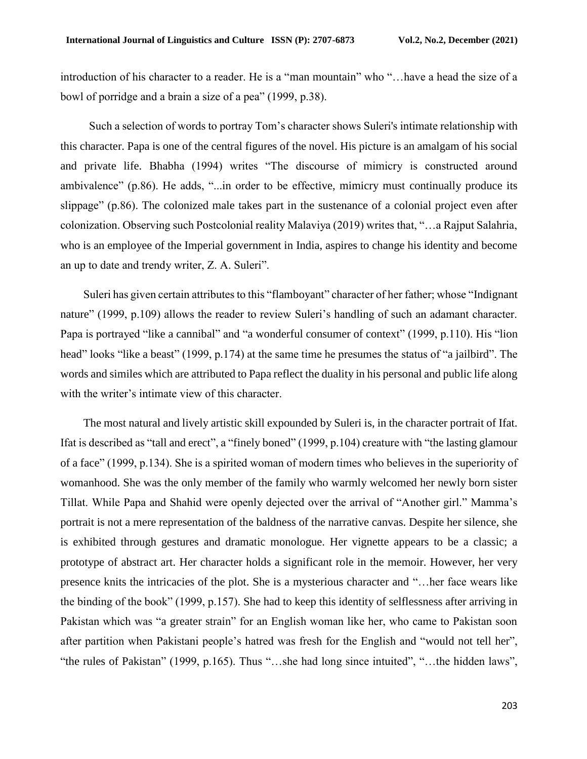introduction of his character to a reader. He is a "man mountain" who "…have a head the size of a bowl of porridge and a brain a size of a pea" (1999, p.38).

 Such a selection of words to portray Tom's character shows Suleri's intimate relationship with this character. Papa is one of the central figures of the novel. His picture is an amalgam of his social and private life. Bhabha (1994) writes "The discourse of mimicry is constructed around ambivalence" (p.86). He adds, "...in order to be effective, mimicry must continually produce its slippage" (p.86). The colonized male takes part in the sustenance of a colonial project even after colonization. Observing such Postcolonial reality Malaviya (2019) writes that, "…a Rajput Salahria, who is an employee of the Imperial government in India, aspires to change his identity and become an up to date and trendy writer, Z. A. Suleri".

 Suleri has given certain attributes to this "flamboyant" character of her father; whose "Indignant nature" (1999, p.109) allows the reader to review Suleri's handling of such an adamant character. Papa is portrayed "like a cannibal" and "a wonderful consumer of context" (1999, p.110). His "lion head" looks "like a beast" (1999, p.174) at the same time he presumes the status of "a jailbird". The words and similes which are attributed to Papa reflect the duality in his personal and public life along with the writer's intimate view of this character.

 The most natural and lively artistic skill expounded by Suleri is, in the character portrait of Ifat. Ifat is described as "tall and erect", a "finely boned" (1999, p.104) creature with "the lasting glamour of a face" (1999, p.134). She is a spirited woman of modern times who believes in the superiority of womanhood. She was the only member of the family who warmly welcomed her newly born sister Tillat. While Papa and Shahid were openly dejected over the arrival of "Another girl." Mamma's portrait is not a mere representation of the baldness of the narrative canvas. Despite her silence, she is exhibited through gestures and dramatic monologue. Her vignette appears to be a classic; a prototype of abstract art. Her character holds a significant role in the memoir. However, her very presence knits the intricacies of the plot. She is a mysterious character and "…her face wears like the binding of the book" (1999, p.157). She had to keep this identity of selflessness after arriving in Pakistan which was "a greater strain" for an English woman like her, who came to Pakistan soon after partition when Pakistani people's hatred was fresh for the English and "would not tell her", "the rules of Pakistan" (1999, p.165). Thus "…she had long since intuited", "…the hidden laws",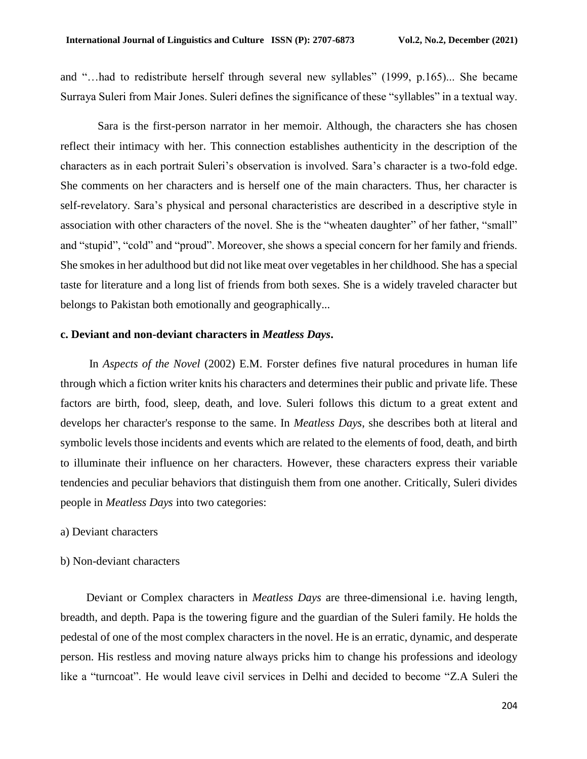and "…had to redistribute herself through several new syllables" (1999, p.165)... She became Surraya Suleri from Mair Jones. Suleri defines the significance of these "syllables" in a textual way.

 Sara is the first-person narrator in her memoir. Although, the characters she has chosen reflect their intimacy with her. This connection establishes authenticity in the description of the characters as in each portrait Suleri's observation is involved. Sara's character is a two-fold edge. She comments on her characters and is herself one of the main characters. Thus, her character is self-revelatory. Sara's physical and personal characteristics are described in a descriptive style in association with other characters of the novel. She is the "wheaten daughter" of her father, "small" and "stupid", "cold" and "proud". Moreover, she shows a special concern for her family and friends. She smokes in her adulthood but did not like meat over vegetables in her childhood. She has a special taste for literature and a long list of friends from both sexes. She is a widely traveled character but belongs to Pakistan both emotionally and geographically...

## **c. Deviant and non-deviant characters in** *Meatless Days***.**

 In *Aspects of the Novel* (2002) E.M. Forster defines five natural procedures in human life through which a fiction writer knits his characters and determines their public and private life. These factors are birth, food, sleep, death, and love. Suleri follows this dictum to a great extent and develops her character's response to the same. In *Meatless Days*, she describes both at literal and symbolic levels those incidents and events which are related to the elements of food, death, and birth to illuminate their influence on her characters. However, these characters express their variable tendencies and peculiar behaviors that distinguish them from one another. Critically, Suleri divides people in *Meatless Days* into two categories:

- a) Deviant characters
- b) Non-deviant characters

 Deviant or Complex characters in *Meatless Days* are three-dimensional i.e. having length, breadth, and depth. Papa is the towering figure and the guardian of the Suleri family. He holds the pedestal of one of the most complex characters in the novel. He is an erratic, dynamic, and desperate person. His restless and moving nature always pricks him to change his professions and ideology like a "turncoat". He would leave civil services in Delhi and decided to become "Z.A Suleri the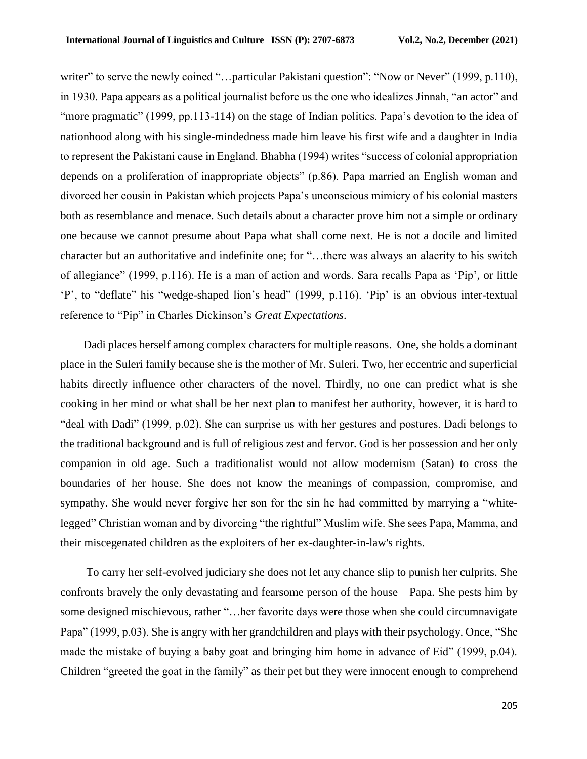writer" to serve the newly coined "...particular Pakistani question": "Now or Never" (1999, p.110), in 1930. Papa appears as a political journalist before us the one who idealizes Jinnah, "an actor" and "more pragmatic" (1999, pp.113-114) on the stage of Indian politics. Papa's devotion to the idea of nationhood along with his single-mindedness made him leave his first wife and a daughter in India to represent the Pakistani cause in England. Bhabha (1994) writes "success of colonial appropriation depends on a proliferation of inappropriate objects" (p.86). Papa married an English woman and divorced her cousin in Pakistan which projects Papa's unconscious mimicry of his colonial masters both as resemblance and menace. Such details about a character prove him not a simple or ordinary one because we cannot presume about Papa what shall come next. He is not a docile and limited character but an authoritative and indefinite one; for "…there was always an alacrity to his switch of allegiance" (1999, p.116). He is a man of action and words. Sara recalls Papa as 'Pip'*,* or little 'P', to "deflate" his "wedge-shaped lion's head" (1999, p.116). 'Pip' is an obvious inter-textual reference to "Pip" in Charles Dickinson's *Great Expectations*.

 Dadi places herself among complex characters for multiple reasons. One, she holds a dominant place in the Suleri family because she is the mother of Mr. Suleri. Two, her eccentric and superficial habits directly influence other characters of the novel. Thirdly, no one can predict what is she cooking in her mind or what shall be her next plan to manifest her authority, however, it is hard to "deal with Dadi" (1999, p.02). She can surprise us with her gestures and postures. Dadi belongs to the traditional background and is full of religious zest and fervor. God is her possession and her only companion in old age. Such a traditionalist would not allow modernism (Satan) to cross the boundaries of her house. She does not know the meanings of compassion, compromise, and sympathy. She would never forgive her son for the sin he had committed by marrying a "whitelegged" Christian woman and by divorcing "the rightful" Muslim wife. She sees Papa, Mamma, and their miscegenated children as the exploiters of her ex-daughter-in-law's rights.

 To carry her self-evolved judiciary she does not let any chance slip to punish her culprits. She confronts bravely the only devastating and fearsome person of the house—Papa. She pests him by some designed mischievous, rather "…her favorite days were those when she could circumnavigate Papa" (1999, p.03). She is angry with her grandchildren and plays with their psychology. Once, "She made the mistake of buying a baby goat and bringing him home in advance of Eid" (1999, p.04). Children "greeted the goat in the family" as their pet but they were innocent enough to comprehend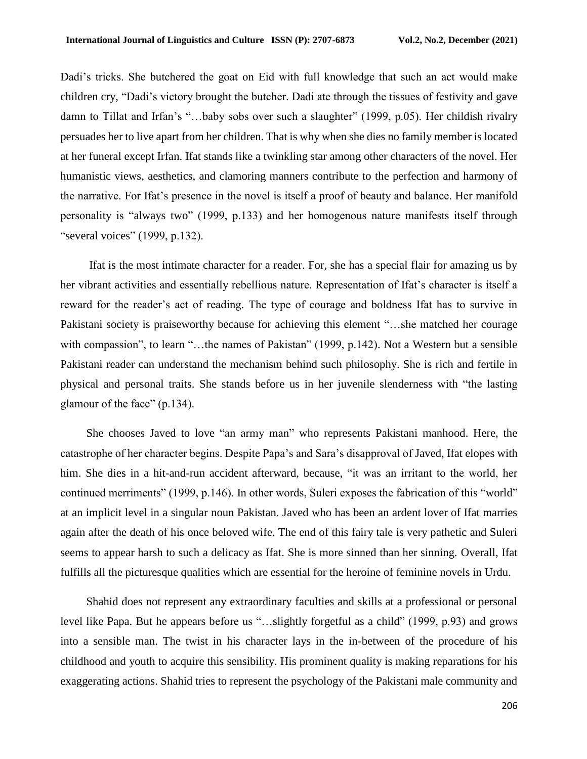Dadi's tricks. She butchered the goat on Eid with full knowledge that such an act would make children cry, "Dadi's victory brought the butcher. Dadi ate through the tissues of festivity and gave damn to Tillat and Irfan's "…baby sobs over such a slaughter" (1999, p.05). Her childish rivalry persuades her to live apart from her children. That is why when she dies no family member is located at her funeral except Irfan. Ifat stands like a twinkling star among other characters of the novel. Her humanistic views, aesthetics, and clamoring manners contribute to the perfection and harmony of the narrative. For Ifat's presence in the novel is itself a proof of beauty and balance. Her manifold personality is "always two" (1999, p.133) and her homogenous nature manifests itself through "several voices" (1999, p.132).

 Ifat is the most intimate character for a reader. For, she has a special flair for amazing us by her vibrant activities and essentially rebellious nature. Representation of Ifat's character is itself a reward for the reader's act of reading. The type of courage and boldness Ifat has to survive in Pakistani society is praiseworthy because for achieving this element "…she matched her courage with compassion", to learn "...the names of Pakistan" (1999, p.142). Not a Western but a sensible Pakistani reader can understand the mechanism behind such philosophy. She is rich and fertile in physical and personal traits. She stands before us in her juvenile slenderness with "the lasting glamour of the face" (p.134).

 She chooses Javed to love "an army man" who represents Pakistani manhood. Here, the catastrophe of her character begins. Despite Papa's and Sara's disapproval of Javed, Ifat elopes with him. She dies in a hit-and-run accident afterward, because, "it was an irritant to the world, her continued merriments" (1999, p.146). In other words, Suleri exposes the fabrication of this "world" at an implicit level in a singular noun Pakistan. Javed who has been an ardent lover of Ifat marries again after the death of his once beloved wife. The end of this fairy tale is very pathetic and Suleri seems to appear harsh to such a delicacy as Ifat. She is more sinned than her sinning. Overall, Ifat fulfills all the picturesque qualities which are essential for the heroine of feminine novels in Urdu.

 Shahid does not represent any extraordinary faculties and skills at a professional or personal level like Papa. But he appears before us "…slightly forgetful as a child" (1999, p.93) and grows into a sensible man. The twist in his character lays in the in-between of the procedure of his childhood and youth to acquire this sensibility. His prominent quality is making reparations for his exaggerating actions. Shahid tries to represent the psychology of the Pakistani male community and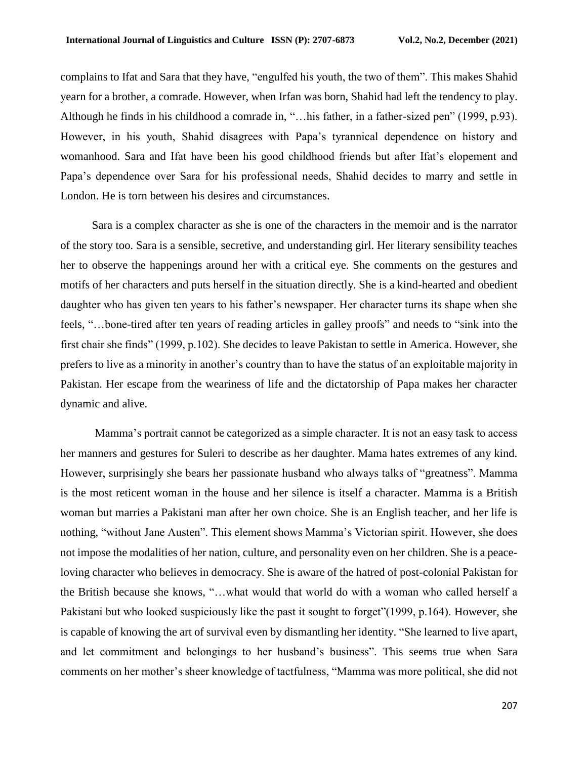complains to Ifat and Sara that they have, "engulfed his youth, the two of them". This makes Shahid yearn for a brother, a comrade. However, when Irfan was born, Shahid had left the tendency to play. Although he finds in his childhood a comrade in, "…his father, in a father-sized pen" (1999, p.93). However, in his youth, Shahid disagrees with Papa's tyrannical dependence on history and womanhood. Sara and Ifat have been his good childhood friends but after Ifat's elopement and Papa's dependence over Sara for his professional needs, Shahid decides to marry and settle in London. He is torn between his desires and circumstances.

 Sara is a complex character as she is one of the characters in the memoir and is the narrator of the story too. Sara is a sensible, secretive, and understanding girl. Her literary sensibility teaches her to observe the happenings around her with a critical eye. She comments on the gestures and motifs of her characters and puts herself in the situation directly. She is a kind-hearted and obedient daughter who has given ten years to his father's newspaper. Her character turns its shape when she feels, "…bone-tired after ten years of reading articles in galley proofs" and needs to "sink into the first chair she finds" (1999, p.102). She decides to leave Pakistan to settle in America. However, she prefers to live as a minority in another's country than to have the status of an exploitable majority in Pakistan. Her escape from the weariness of life and the dictatorship of Papa makes her character dynamic and alive.

 Mamma's portrait cannot be categorized as a simple character. It is not an easy task to access her manners and gestures for Suleri to describe as her daughter. Mama hates extremes of any kind. However, surprisingly she bears her passionate husband who always talks of "greatness". Mamma is the most reticent woman in the house and her silence is itself a character. Mamma is a British woman but marries a Pakistani man after her own choice. She is an English teacher, and her life is nothing, "without Jane Austen". This element shows Mamma's Victorian spirit. However, she does not impose the modalities of her nation, culture, and personality even on her children. She is a peaceloving character who believes in democracy. She is aware of the hatred of post-colonial Pakistan for the British because she knows, "…what would that world do with a woman who called herself a Pakistani but who looked suspiciously like the past it sought to forget"(1999, p.164). However, she is capable of knowing the art of survival even by dismantling her identity. "She learned to live apart, and let commitment and belongings to her husband's business". This seems true when Sara comments on her mother's sheer knowledge of tactfulness, "Mamma was more political, she did not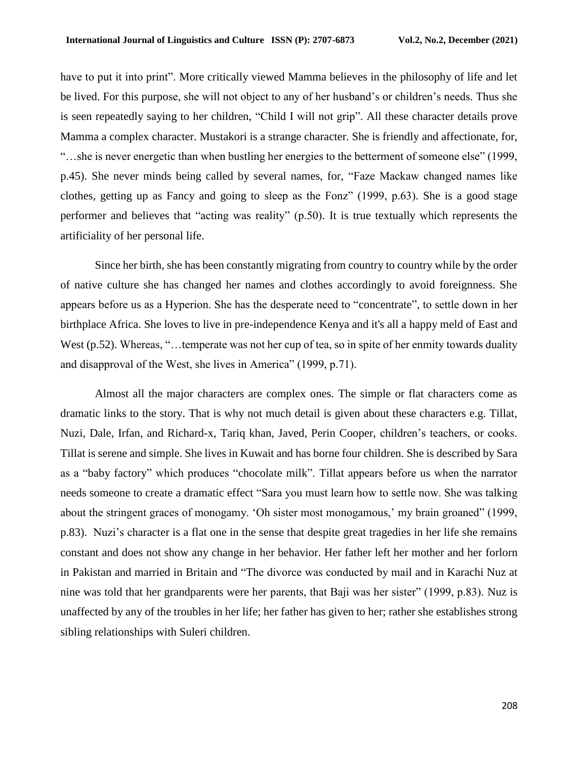have to put it into print". More critically viewed Mamma believes in the philosophy of life and let be lived. For this purpose, she will not object to any of her husband's or children's needs. Thus she is seen repeatedly saying to her children, "Child I will not grip". All these character details prove Mamma a complex character. Mustakori is a strange character. She is friendly and affectionate, for, "…she is never energetic than when bustling her energies to the betterment of someone else" (1999, p.45). She never minds being called by several names, for, "Faze Mackaw changed names like clothes, getting up as Fancy and going to sleep as the Fonz" (1999, p.63). She is a good stage performer and believes that "acting was reality" (p.50). It is true textually which represents the artificiality of her personal life.

 Since her birth, she has been constantly migrating from country to country while by the order of native culture she has changed her names and clothes accordingly to avoid foreignness. She appears before us as a Hyperion. She has the desperate need to "concentrate", to settle down in her birthplace Africa. She loves to live in pre-independence Kenya and it's all a happy meld of East and West (p.52). Whereas, "...temperate was not her cup of tea, so in spite of her enmity towards duality and disapproval of the West, she lives in America" (1999, p.71).

 Almost all the major characters are complex ones. The simple or flat characters come as dramatic links to the story. That is why not much detail is given about these characters e.g. Tillat, Nuzi, Dale, Irfan, and Richard-x, Tariq khan, Javed, Perin Cooper, children's teachers, or cooks. Tillat is serene and simple. She lives in Kuwait and has borne four children. She is described by Sara as a "baby factory" which produces "chocolate milk". Tillat appears before us when the narrator needs someone to create a dramatic effect "Sara you must learn how to settle now. She was talking about the stringent graces of monogamy. 'Oh sister most monogamous,' my brain groaned" (1999, p.83). Nuzi's character is a flat one in the sense that despite great tragedies in her life she remains constant and does not show any change in her behavior. Her father left her mother and her forlorn in Pakistan and married in Britain and "The divorce was conducted by mail and in Karachi Nuz at nine was told that her grandparents were her parents, that Baji was her sister" (1999, p.83). Nuz is unaffected by any of the troubles in her life; her father has given to her; rather she establishes strong sibling relationships with Suleri children.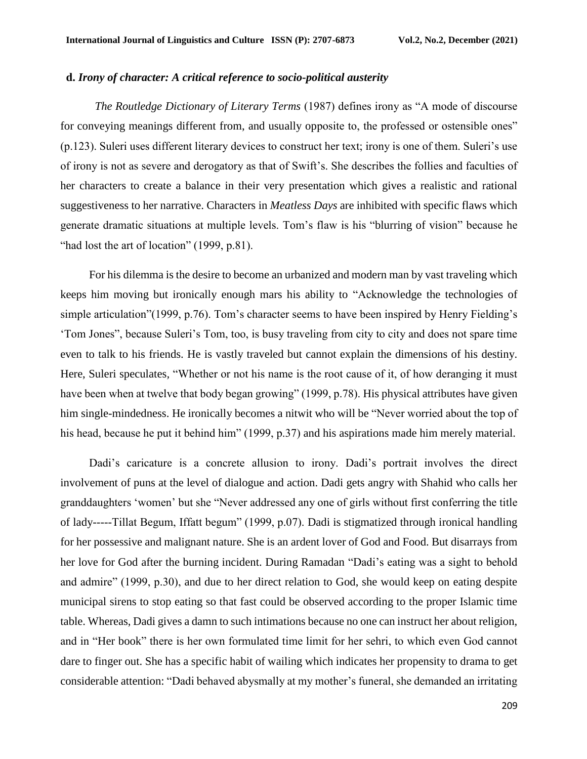### **d.** *Irony of character: A critical reference to socio-political austerity*

 *The Routledge Dictionary of Literary Terms* (1987) defines irony as "A mode of discourse for conveying meanings different from, and usually opposite to, the professed or ostensible ones" (p.123). Suleri uses different literary devices to construct her text; irony is one of them. Suleri's use of irony is not as severe and derogatory as that of Swift's. She describes the follies and faculties of her characters to create a balance in their very presentation which gives a realistic and rational suggestiveness to her narrative. Characters in *Meatless Days* are inhibited with specific flaws which generate dramatic situations at multiple levels. Tom's flaw is his "blurring of vision" because he "had lost the art of location" (1999, p.81).

 For his dilemma is the desire to become an urbanized and modern man by vast traveling which keeps him moving but ironically enough mars his ability to "Acknowledge the technologies of simple articulation"(1999, p.76). Tom's character seems to have been inspired by Henry Fielding's 'Tom Jones", because Suleri's Tom, too, is busy traveling from city to city and does not spare time even to talk to his friends. He is vastly traveled but cannot explain the dimensions of his destiny. Here, Suleri speculates*,* "Whether or not his name is the root cause of it, of how deranging it must have been when at twelve that body began growing" (1999, p.78). His physical attributes have given him single-mindedness. He ironically becomes a nitwit who will be "Never worried about the top of his head, because he put it behind him" (1999, p.37) and his aspirations made him merely material.

 Dadi's caricature is a concrete allusion to irony. Dadi's portrait involves the direct involvement of puns at the level of dialogue and action. Dadi gets angry with Shahid who calls her granddaughters 'women' but she "Never addressed any one of girls without first conferring the title of lady-----Tillat Begum, Iffatt begum" (1999, p.07). Dadi is stigmatized through ironical handling for her possessive and malignant nature. She is an ardent lover of God and Food. But disarrays from her love for God after the burning incident. During Ramadan "Dadi's eating was a sight to behold and admire" (1999, p.30), and due to her direct relation to God, she would keep on eating despite municipal sirens to stop eating so that fast could be observed according to the proper Islamic time table. Whereas, Dadi gives a damn to such intimations because no one can instruct her about religion, and in "Her book" there is her own formulated time limit for her sehri, to which even God cannot dare to finger out. She has a specific habit of wailing which indicates her propensity to drama to get considerable attention: "Dadi behaved abysmally at my mother's funeral, she demanded an irritating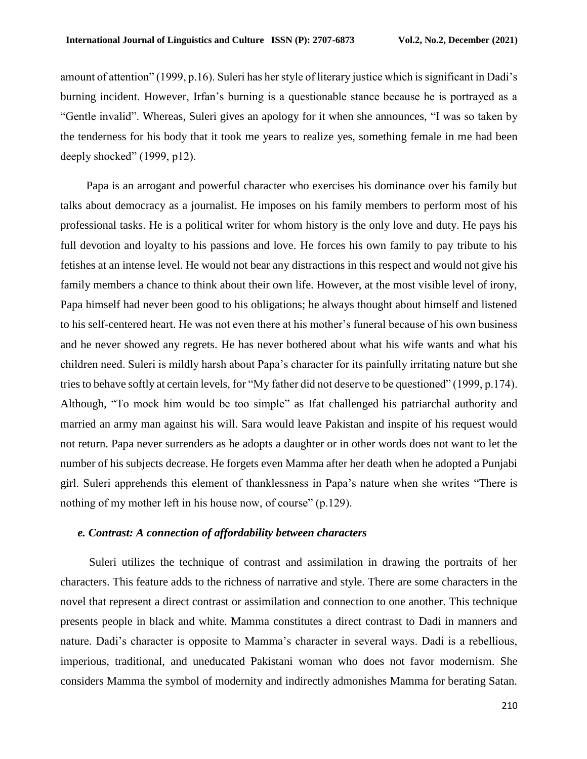amount of attention" (1999, p.16). Suleri has her style of literary justice which is significant in Dadi's burning incident. However, Irfan's burning is a questionable stance because he is portrayed as a "Gentle invalid". Whereas, Suleri gives an apology for it when she announces, "I was so taken by the tenderness for his body that it took me years to realize yes, something female in me had been deeply shocked" (1999, p12).

 Papa is an arrogant and powerful character who exercises his dominance over his family but talks about democracy as a journalist. He imposes on his family members to perform most of his professional tasks. He is a political writer for whom history is the only love and duty. He pays his full devotion and loyalty to his passions and love. He forces his own family to pay tribute to his fetishes at an intense level. He would not bear any distractions in this respect and would not give his family members a chance to think about their own life. However, at the most visible level of irony, Papa himself had never been good to his obligations; he always thought about himself and listened to his self-centered heart. He was not even there at his mother's funeral because of his own business and he never showed any regrets. He has never bothered about what his wife wants and what his children need. Suleri is mildly harsh about Papa's character for its painfully irritating nature but she tries to behave softly at certain levels, for "My father did not deserve to be questioned" (1999, p.174). Although, "To mock him would be too simple" as Ifat challenged his patriarchal authority and married an army man against his will. Sara would leave Pakistan and inspite of his request would not return. Papa never surrenders as he adopts a daughter or in other words does not want to let the number of his subjects decrease. He forgets even Mamma after her death when he adopted a Punjabi girl. Suleri apprehends this element of thanklessness in Papa's nature when she writes "There is nothing of my mother left in his house now, of course" (p.129).

# *e. Contrast: A connection of affordability between characters*

 Suleri utilizes the technique of contrast and assimilation in drawing the portraits of her characters. This feature adds to the richness of narrative and style. There are some characters in the novel that represent a direct contrast or assimilation and connection to one another. This technique presents people in black and white. Mamma constitutes a direct contrast to Dadi in manners and nature. Dadi's character is opposite to Mamma's character in several ways. Dadi is a rebellious, imperious, traditional, and uneducated Pakistani woman who does not favor modernism. She considers Mamma the symbol of modernity and indirectly admonishes Mamma for berating Satan.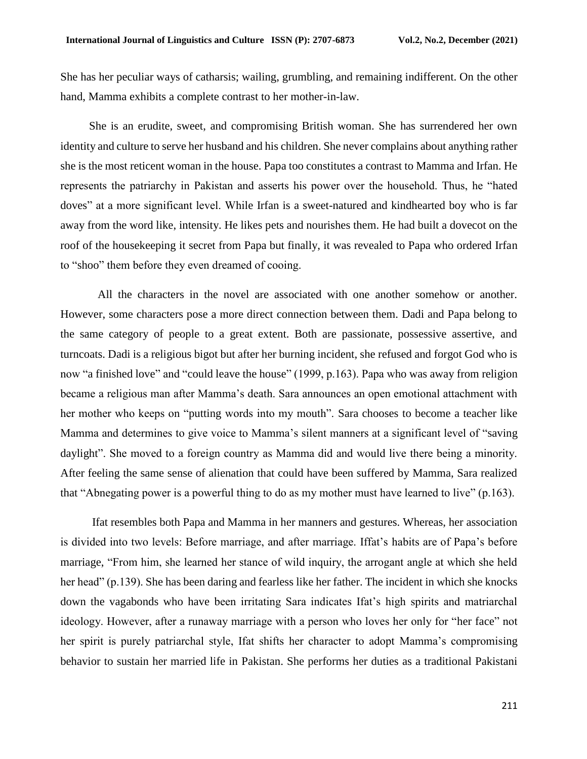She has her peculiar ways of catharsis; wailing, grumbling, and remaining indifferent. On the other hand, Mamma exhibits a complete contrast to her mother-in-law.

 She is an erudite, sweet, and compromising British woman. She has surrendered her own identity and culture to serve her husband and his children. She never complains about anything rather she is the most reticent woman in the house. Papa too constitutes a contrast to Mamma and Irfan. He represents the patriarchy in Pakistan and asserts his power over the household. Thus, he "hated doves" at a more significant level. While Irfan is a sweet-natured and kindhearted boy who is far away from the word like, intensity. He likes pets and nourishes them. He had built a dovecot on the roof of the housekeeping it secret from Papa but finally, it was revealed to Papa who ordered Irfan to "shoo" them before they even dreamed of cooing.

 All the characters in the novel are associated with one another somehow or another. However, some characters pose a more direct connection between them. Dadi and Papa belong to the same category of people to a great extent. Both are passionate, possessive assertive, and turncoats. Dadi is a religious bigot but after her burning incident, she refused and forgot God who is now "a finished love" and "could leave the house" (1999, p.163). Papa who was away from religion became a religious man after Mamma's death. Sara announces an open emotional attachment with her mother who keeps on "putting words into my mouth". Sara chooses to become a teacher like Mamma and determines to give voice to Mamma's silent manners at a significant level of "saving daylight". She moved to a foreign country as Mamma did and would live there being a minority. After feeling the same sense of alienation that could have been suffered by Mamma, Sara realized that "Abnegating power is a powerful thing to do as my mother must have learned to live" (p.163).

 Ifat resembles both Papa and Mamma in her manners and gestures. Whereas, her association is divided into two levels: Before marriage, and after marriage. Iffat's habits are of Papa's before marriage, "From him, she learned her stance of wild inquiry, the arrogant angle at which she held her head" (p.139). She has been daring and fearless like her father. The incident in which she knocks down the vagabonds who have been irritating Sara indicates Ifat's high spirits and matriarchal ideology. However, after a runaway marriage with a person who loves her only for "her face" not her spirit is purely patriarchal style, Ifat shifts her character to adopt Mamma's compromising behavior to sustain her married life in Pakistan. She performs her duties as a traditional Pakistani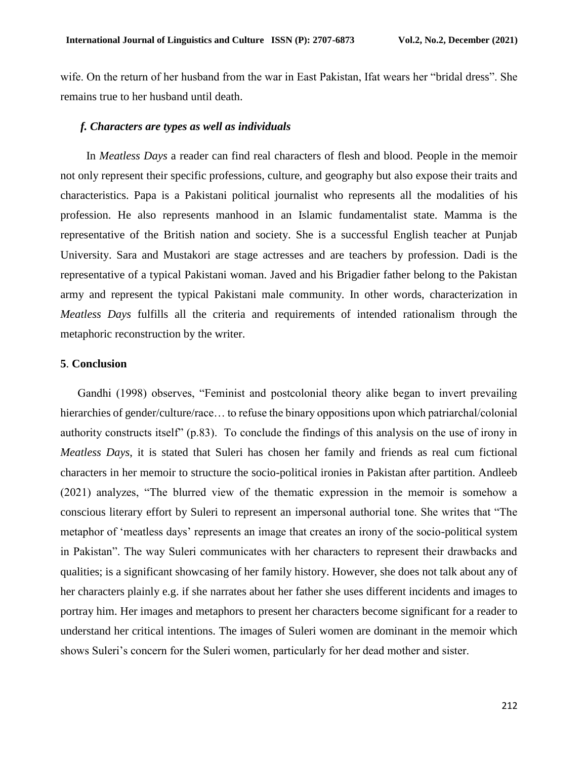wife. On the return of her husband from the war in East Pakistan, Ifat wears her "bridal dress". She remains true to her husband until death.

# *f. Characters are types as well as individuals*

 In *Meatless Days* a reader can find real characters of flesh and blood. People in the memoir not only represent their specific professions, culture, and geography but also expose their traits and characteristics. Papa is a Pakistani political journalist who represents all the modalities of his profession. He also represents manhood in an Islamic fundamentalist state. Mamma is the representative of the British nation and society. She is a successful English teacher at Punjab University. Sara and Mustakori are stage actresses and are teachers by profession. Dadi is the representative of a typical Pakistani woman. Javed and his Brigadier father belong to the Pakistan army and represent the typical Pakistani male community. In other words, characterization in *Meatless Days* fulfills all the criteria and requirements of intended rationalism through the metaphoric reconstruction by the writer.

# **5**. **Conclusion**

 Gandhi (1998) observes, "Feminist and postcolonial theory alike began to invert prevailing hierarchies of gender/culture/race... to refuse the binary oppositions upon which patriarchal/colonial authority constructs itself" (p.83). To conclude the findings of this analysis on the use of irony in *Meatless Days*, it is stated that Suleri has chosen her family and friends as real cum fictional characters in her memoir to structure the socio-political ironies in Pakistan after partition. Andleeb (2021) analyzes, "The blurred view of the thematic expression in the memoir is somehow a conscious literary effort by Suleri to represent an impersonal authorial tone. She writes that "The metaphor of 'meatless days' represents an image that creates an irony of the socio-political system in Pakistan". The way Suleri communicates with her characters to represent their drawbacks and qualities; is a significant showcasing of her family history. However, she does not talk about any of her characters plainly e.g. if she narrates about her father she uses different incidents and images to portray him. Her images and metaphors to present her characters become significant for a reader to understand her critical intentions. The images of Suleri women are dominant in the memoir which shows Suleri's concern for the Suleri women, particularly for her dead mother and sister.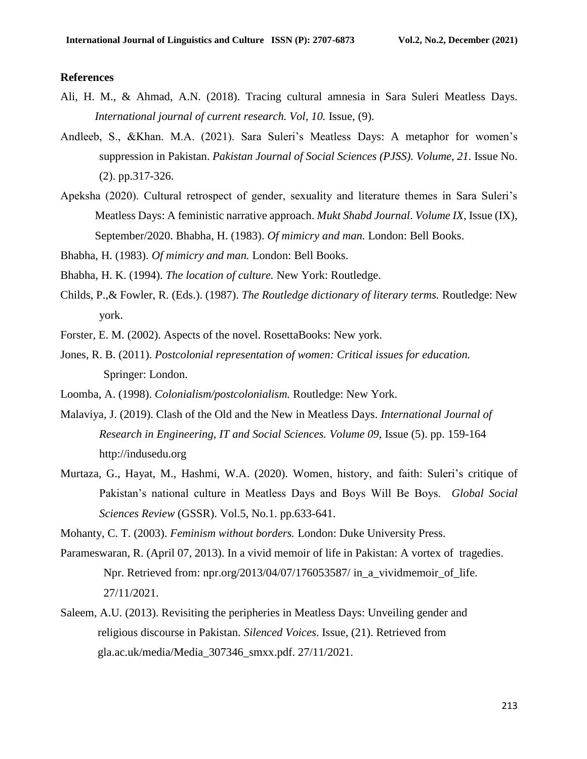#### **References**

- Ali, H. M., & Ahmad, A.N. (2018). Tracing cultural amnesia in Sara Suleri Meatless Days. *International journal of current research. Vol, 10.* Issue, (9).
- Andleeb, S., &Khan. M.A. (2021). Sara Suleri's Meatless Days: A metaphor for women's suppression in Pakistan. *Pakistan Journal of Social Sciences (PJSS). Volume, 21.* Issue No. (2). pp.317-326.
- Apeksha (2020). Cultural retrospect of gender, sexuality and literature themes in Sara Suleri's Meatless Days: A feministic narrative approach. *Mukt Shabd Journal*. *Volume IX*, Issue (IX), September/2020. Bhabha, H. (1983). *Of mimicry and man.* London: Bell Books.

Bhabha, H. (1983). *Of mimicry and man.* London: Bell Books.

Bhabha, H. K. (1994). *The location of culture.* New York: Routledge.

- Childs, P.,& Fowler, R. (Eds.). (1987). *The Routledge dictionary of literary terms.* Routledge: New york.
- Forster, E. M. (2002). Aspects of the novel. RosettaBooks: New york.
- Jones, R. B. (2011). *Postcolonial representation of women: Critical issues for education.* Springer: London.
- Loomba, A. (1998). *Colonialism/postcolonialism.* Routledge: New York.
- Malaviya, J. (2019). Clash of the Old and the New in Meatless Days. *International Journal of Research in Engineering, IT and Social Sciences. Volume 09*, Issue (5). pp. 159-164 http://indusedu.org
- Murtaza, G., Hayat, M., Hashmi, W.A. (2020). Women, history, and faith: Suleri's critique of Pakistan's national culture in Meatless Days and Boys Will Be Boys. *Global Social Sciences Review* (GSSR). Vol.5, No.1. pp.633-641.

Mohanty, C. T. (2003). *Feminism without borders.* London: Duke University Press.

- Parameswaran, R. (April 07, 2013). In a vivid memoir of life in Pakistan: A vortex of tragedies. Npr. Retrieved from: npr.org/2013/04/07/176053587/ in\_a\_vividmemoir\_of\_life. 27/11/2021.
- Saleem, A.U. (2013). Revisiting the peripheries in Meatless Days: Unveiling gender and religious discourse in Pakistan. *Silenced Voices*. Issue, (21). Retrieved from gla.ac.uk/media/Media\_307346\_smxx.pdf. 27/11/2021.